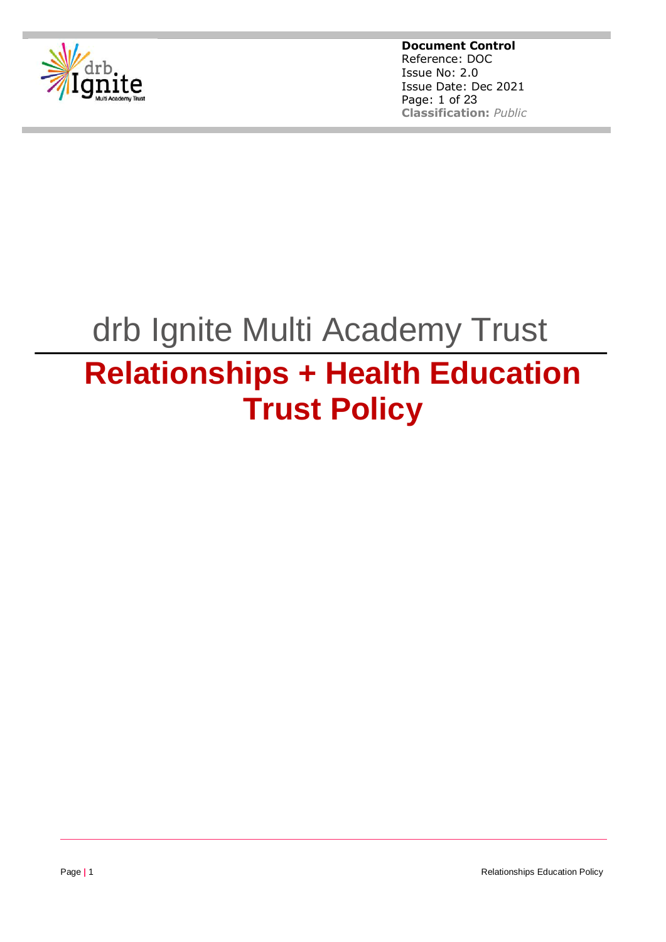

**Document Control** Reference: DOC Issue No: 2.0 Issue Date: Dec 2021 Page: 1 of 23 **Classification:** *Public*

# drb Ignite Multi Academy Trust

# **Relationships + Health Education Trust Policy**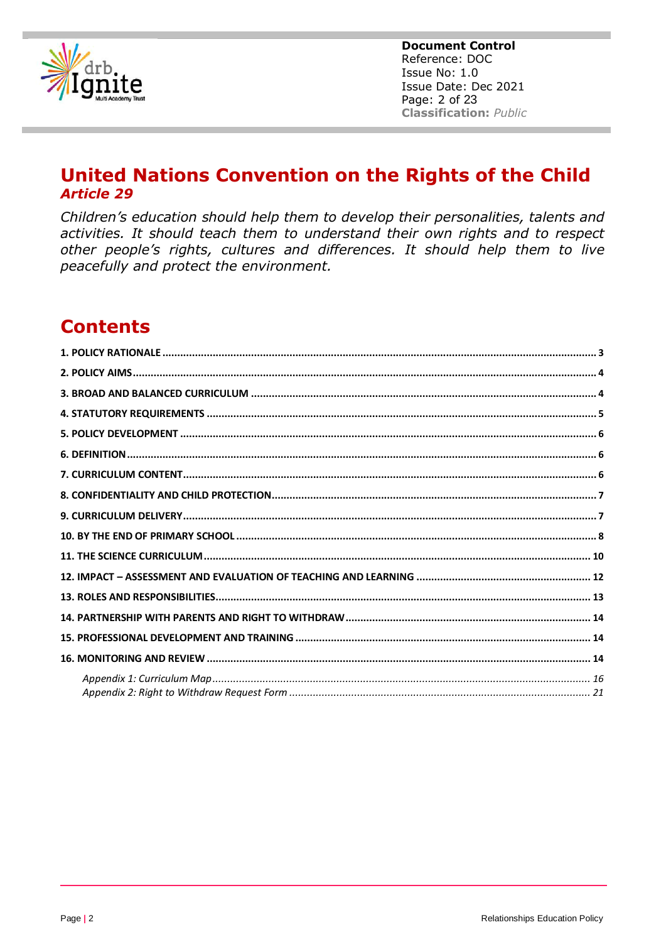

**Document Control** Reference: DOC Issue No: 1.0 Issue Date: Dec 2021 Page: 2 of 23 **Classification: Public** 

# **United Nations Convention on the Rights of the Child Article 29**

Children's education should help them to develop their personalities, talents and activities. It should teach them to understand their own rights and to respect other people's rights, cultures and differences. It should help them to live peacefully and protect the environment.

# **Contents**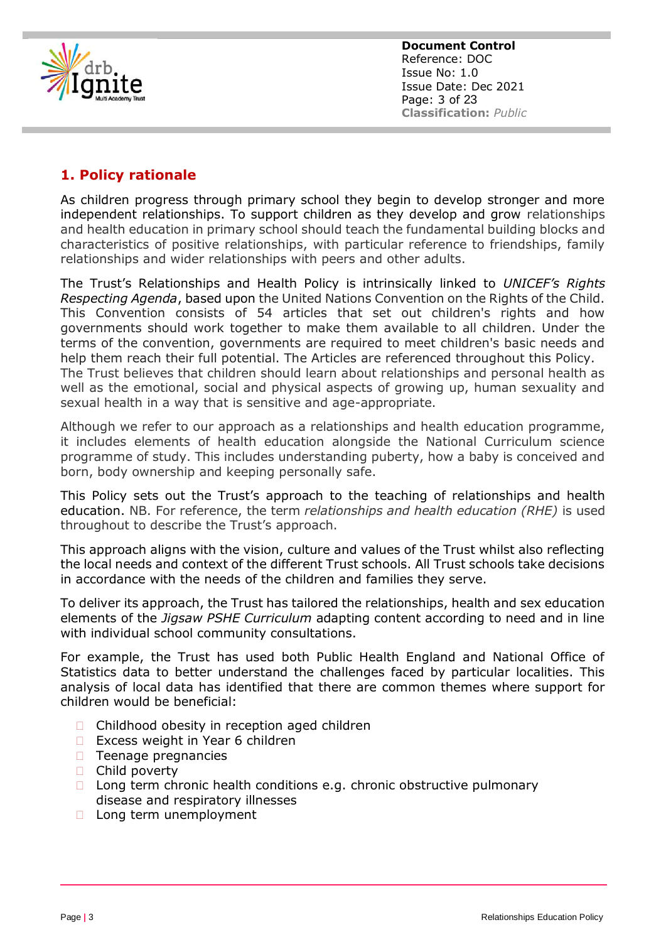<span id="page-2-0"></span>

## **1. Policy rationale**

As children progress through primary school they begin to develop stronger and more independent relationships. To support children as they develop and grow relationships and health education in primary school should teach the fundamental building blocks and characteristics of positive relationships, with particular reference to friendships, family relationships and wider relationships with peers and other adults.

The Trust's Relationships and Health Policy is intrinsically linked to *UNICEF's Rights Respecting Agenda*, based upon the United Nations Convention on the Rights of the Child. This Convention consists of 54 articles that set out children's rights and how governments should work together to make them available to all children. Under the terms of the convention, governments are required to meet children's basic needs and help them reach their full potential. The Articles are referenced throughout this Policy. The Trust believes that children should learn about relationships and personal health as well as the emotional, social and physical aspects of growing up, human sexuality and sexual health in a way that is sensitive and age-appropriate.

Although we refer to our approach as a relationships and health education programme, it includes elements of health education alongside the National Curriculum science programme of study. This includes understanding puberty, how a baby is conceived and born, body ownership and keeping personally safe.

This Policy sets out the Trust's approach to the teaching of relationships and health education. NB. For reference, the term *relationships and health education (RHE)* is used throughout to describe the Trust's approach.

This approach aligns with the vision, culture and values of the Trust whilst also reflecting the local needs and context of the different Trust schools. All Trust schools take decisions in accordance with the needs of the children and families they serve.

To deliver its approach, the Trust has tailored the relationships, health and sex education elements of the *Jigsaw PSHE Curriculum* adapting content according to need and in line with individual school community consultations.

For example, the Trust has used both Public Health England and National Office of Statistics data to better understand the challenges faced by particular localities. This analysis of local data has identified that there are common themes where support for children would be beneficial:

- □ Childhood obesity in reception aged children
- $\Box$  Excess weight in Year 6 children
- $\Box$  Teenage pregnancies
- □ Child poverty
- $\Box$  Long term chronic health conditions e.g. chronic obstructive pulmonary disease and respiratory illnesses
- □ Long term unemployment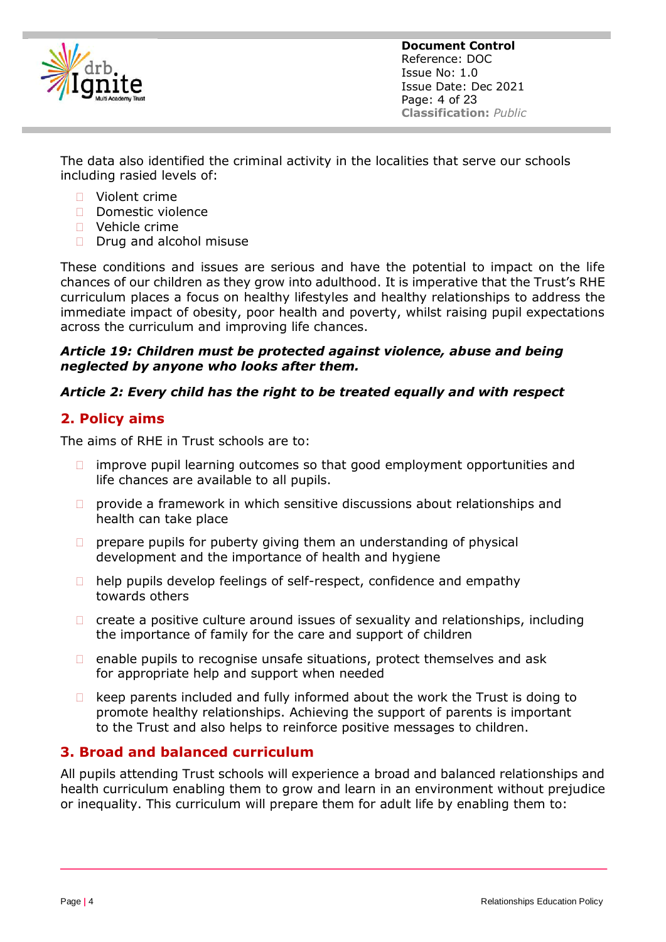<span id="page-3-0"></span>

**Document Control** Reference: DOC Issue No: 1.0 Issue Date: Dec 2021 Page: 4 of 23 **Classification:** *Public*

The data also identified the criminal activity in the localities that serve our schools including rasied levels of:

- Violent crime
- Domestic violence
- **D** Vehicle crime
- $\Box$  Drug and alcohol misuse

These conditions and issues are serious and have the potential to impact on the life chances of our children as they grow into adulthood. It is imperative that the Trust's RHE curriculum places a focus on healthy lifestyles and healthy relationships to address the immediate impact of obesity, poor health and poverty, whilst raising pupil expectations across the curriculum and improving life chances.

#### *Article 19: Children must be protected against violence, abuse and being neglected by anyone who looks after them.*

#### *Article 2: Every child has the right to be treated equally and with respect*

#### **2. Policy aims**

The aims of RHE in Trust schools are to:

- $\Box$  improve pupil learning outcomes so that good employment opportunities and life chances are available to all pupils.
- $\Box$  provide a framework in which sensitive discussions about relationships and health can take place
- $\Box$  prepare pupils for puberty giving them an understanding of physical development and the importance of health and hygiene
- $\Box$  help pupils develop feelings of self-respect, confidence and empathy towards others
- $\Box$  create a positive culture around issues of sexuality and relationships, including the importance of family for the care and support of children
- $\Box$  enable pupils to recognise unsafe situations, protect themselves and ask for appropriate help and support when needed
- $\Box$  keep parents included and fully informed about the work the Trust is doing to promote healthy relationships. Achieving the support of parents is important to the Trust and also helps to reinforce positive messages to children.

#### **3. Broad and balanced curriculum**

All pupils attending Trust schools will experience a broad and balanced relationships and health curriculum enabling them to grow and learn in an environment without prejudice or inequality. This curriculum will prepare them for adult life by enabling them to: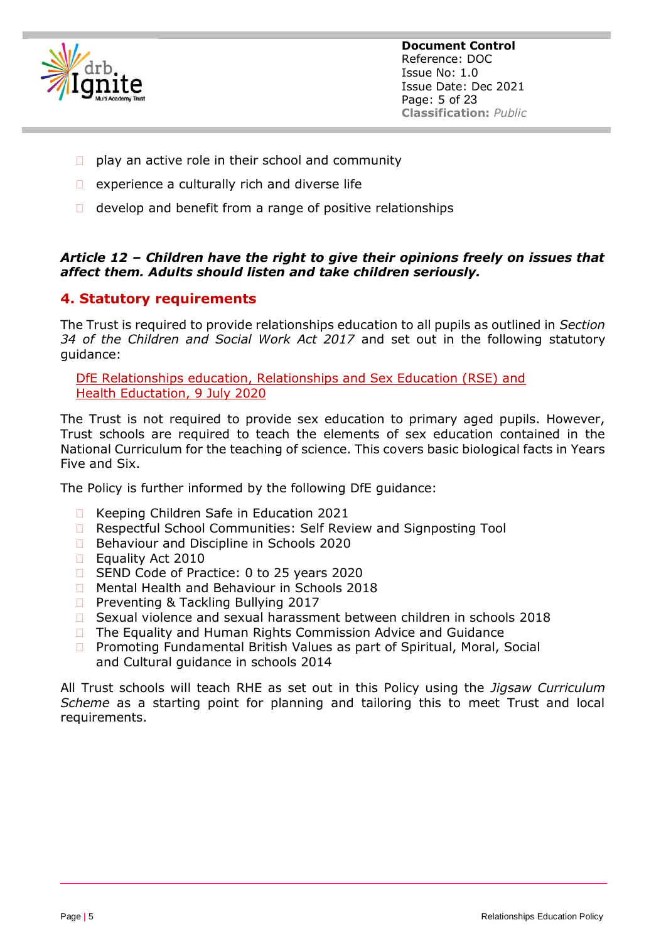<span id="page-4-0"></span>

- $\Box$  play an active role in their school and community
- $\Box$  experience a culturally rich and diverse life
- $\Box$  develop and benefit from a range of positive relationships

#### *Article 12 – Children have the right to give their opinions freely on issues that affect them. Adults should listen and take children seriously.*

## **4. Statutory requirements**

The Trust is required to provide relationships education to all pupils as outlined in *Section 34 of the Children and Social Work Act 2017* and set out in the following statutory guidance:

[DfE Relationships education, Relationships and Sex Education \(RSE\) and](https://www.gov.uk/government/publications/relationships-education-relationships-and-sex-education-rse-and-health-education/relationships-education-primary)  [Health](https://www.gov.uk/government/publications/relationships-education-relationships-and-sex-education-rse-and-health-education/relationships-education-primary) [Eductation, 9 July 2020](https://www.gov.uk/government/publications/relationships-education-relationships-and-sex-education-rse-and-health-education/relationships-education-primary)

The Trust is not required to provide sex education to primary aged pupils. However, Trust schools are required to teach the elements of sex education contained in the National Curriculum for the teaching of science. This covers basic biological facts in Years Five and Six.

The Policy is further informed by the following DfE guidance:

- □ Keeping Children Safe in Education 2021
- □ Respectful School Communities: Self Review and Signposting Tool
- □ Behaviour and Discipline in Schools 2020
- □ Equality Act 2010
- □ SEND Code of Practice: 0 to 25 years 2020
- □ Mental Health and Behaviour in Schools 2018
- □ Preventing & Tackling Bullying 2017
- □ Sexual violence and sexual harassment between children in schools 2018
- $\Box$  The Equality and Human Rights Commission Advice and Guidance
- Promoting Fundamental British Values as part of Spiritual, Moral, Social and Cultural guidance in schools 2014

All Trust schools will teach RHE as set out in this Policy using the *Jigsaw Curriculum Scheme* as a starting point for planning and tailoring this to meet Trust and local requirements.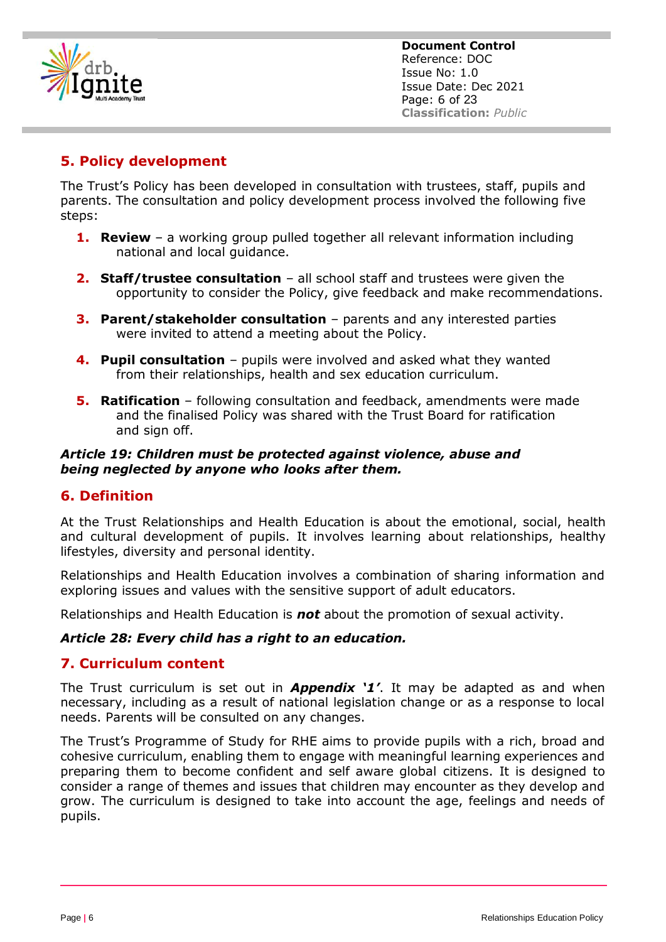<span id="page-5-0"></span>

# **5. Policy development**

The Trust's Policy has been developed in consultation with trustees, staff, pupils and parents. The consultation and policy development process involved the following five steps:

- **1. Review**  a working group pulled together all relevant information including national and local guidance.
- **2. Staff/trustee consultation**  all school staff and trustees were given the opportunity to consider the Policy, give feedback and make recommendations.
- **3. Parent/stakeholder consultation**  parents and any interested parties were invited to attend a meeting about the Policy.
- **4. Pupil consultation** pupils were involved and asked what they wanted from their relationships, health and sex education curriculum.
- **5. Ratification**  following consultation and feedback, amendments were made and the finalised Policy was shared with the Trust Board for ratification and sign off.

#### *Article 19: Children must be protected against violence, abuse and being neglected by anyone who looks after them.*

#### **6. Definition**

At the Trust Relationships and Health Education is about the emotional, social, health and cultural development of pupils. It involves learning about relationships, healthy lifestyles, diversity and personal identity.

Relationships and Health Education involves a combination of sharing information and exploring issues and values with the sensitive support of adult educators.

Relationships and Health Education is *not* about the promotion of sexual activity.

#### *Article 28: Every child has a right to an education.*

#### **7. Curriculum content**

The Trust curriculum is set out in *Appendix '1'*. It may be adapted as and when necessary, including as a result of national legislation change or as a response to local needs. Parents will be consulted on any changes.

The Trust's Programme of Study for RHE aims to provide pupils with a rich, broad and cohesive curriculum, enabling them to engage with meaningful learning experiences and preparing them to become confident and self aware global citizens. It is designed to consider a range of themes and issues that children may encounter as they develop and grow. The curriculum is designed to take into account the age, feelings and needs of pupils.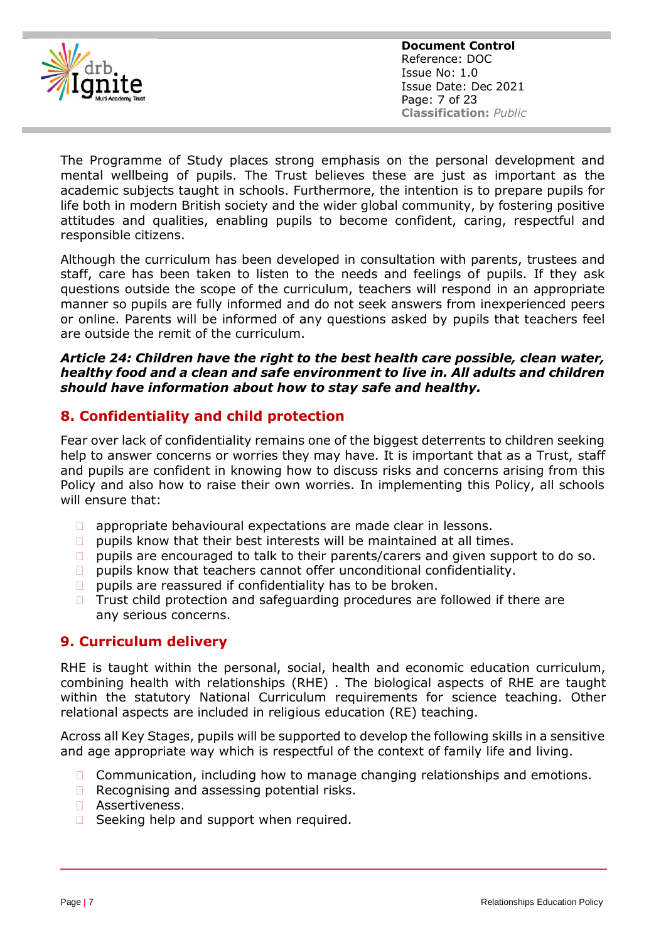<span id="page-6-0"></span>

**Document Control** Reference: DOC Issue No: 1.0 Issue Date: Dec 2021 Page: 7 of 23 **Classification:** *Public*

The Programme of Study places strong emphasis on the personal development and mental wellbeing of pupils. The Trust believes these are just as important as the academic subjects taught in schools. Furthermore, the intention is to prepare pupils for life both in modern British society and the wider global community, by fostering positive attitudes and qualities, enabling pupils to become confident, caring, respectful and responsible citizens.

Although the curriculum has been developed in consultation with parents, trustees and staff, care has been taken to listen to the needs and feelings of pupils. If they ask questions outside the scope of the curriculum, teachers will respond in an appropriate manner so pupils are fully informed and do not seek answers from inexperienced peers or online. Parents will be informed of any questions asked by pupils that teachers feel are outside the remit of the curriculum.

#### *Article 24: Children have the right to the best health care possible, clean water, healthy food and a clean and safe environment to live in. All adults and children should have information about how to stay safe and healthy.*

#### **8. Confidentiality and child protection**

Fear over lack of confidentiality remains one of the biggest deterrents to children seeking help to answer concerns or worries they may have. It is important that as a Trust, staff and pupils are confident in knowing how to discuss risks and concerns arising from this Policy and also how to raise their own worries. In implementing this Policy, all schools will ensure that:

- **D** appropriate behavioural expectations are made clear in lessons.
- $\Box$  pupils know that their best interests will be maintained at all times.
- $\Box$  pupils are encouraged to talk to their parents/carers and given support to do so.
- $\Box$  pupils know that teachers cannot offer unconditional confidentiality.
- $\Box$  pupils are reassured if confidentiality has to be broken.
- $\Box$  Trust child protection and safeguarding procedures are followed if there are any serious concerns.

#### **9. Curriculum delivery**

RHE is taught within the personal, social, health and economic education curriculum, combining health with relationships (RHE) . The biological aspects of RHE are taught within the statutory National Curriculum requirements for science teaching. Other relational aspects are included in religious education (RE) teaching.

Across all Key Stages, pupils will be supported to develop the following skills in a sensitive and age appropriate way which is respectful of the context of family life and living.

- $\Box$  Communication, including how to manage changing relationships and emotions.
- $\Box$  Recognising and assessing potential risks.
- □ Assertiveness.
- $\Box$  Seeking help and support when required.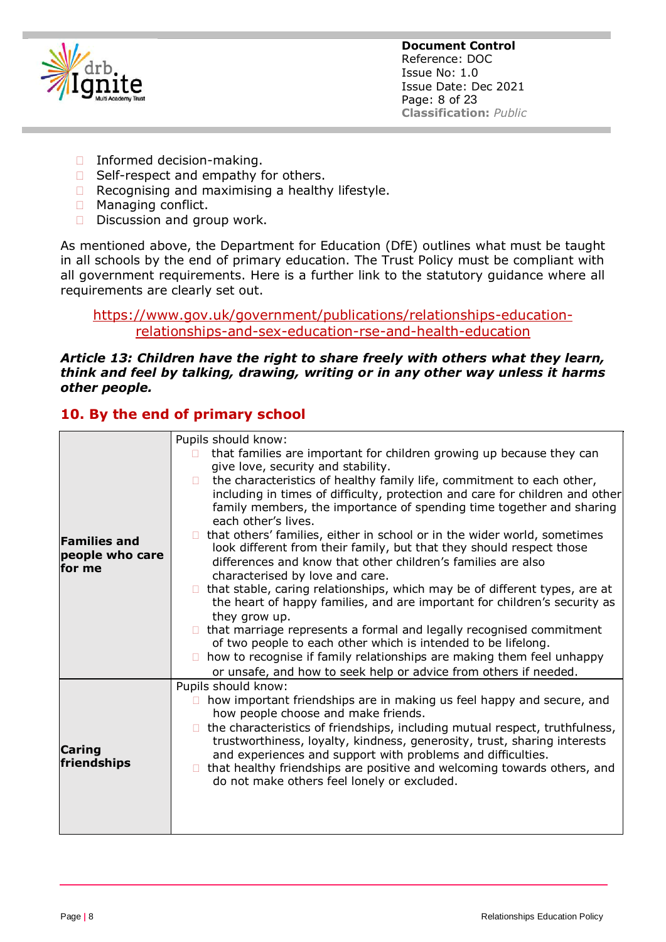<span id="page-7-0"></span>

- □ Informed decision-making.
- $\Box$  Self-respect and empathy for others.
- $\Box$  Recognising and maximising a healthy lifestyle.
- **Managing conflict.**
- $\square$  Discussion and group work.

As mentioned above, the Department for Education (DfE) outlines what must be taught in all schools by the end of primary education. The Trust Policy must be compliant with all government requirements. Here is a further link to the statutory guidance where all requirements are clearly set out.

[https://www.gov.uk/government/publications/relationships-education](https://www.gov.uk/government/publications/relationships-education-relationships-and-sex-education-rse-and-health-education)[relationships-and-sex-education-rse-and-health-education](https://www.gov.uk/government/publications/relationships-education-relationships-and-sex-education-rse-and-health-education)

#### *Article 13: Children have the right to share freely with others what they learn, think and feel by talking, drawing, writing or in any other way unless it harms other people.*

## **10. By the end of primary school**

|                                                  | Pupils should know:                                                                                                                                                                                                                                                                                                                                        |
|--------------------------------------------------|------------------------------------------------------------------------------------------------------------------------------------------------------------------------------------------------------------------------------------------------------------------------------------------------------------------------------------------------------------|
|                                                  | that families are important for children growing up because they can<br>П                                                                                                                                                                                                                                                                                  |
| <b>Families and</b><br>people who care<br>for me | give love, security and stability.                                                                                                                                                                                                                                                                                                                         |
|                                                  | the characteristics of healthy family life, commitment to each other,<br>П.<br>including in times of difficulty, protection and care for children and other<br>family members, the importance of spending time together and sharing<br>each other's lives.                                                                                                 |
|                                                  | that others' families, either in school or in the wider world, sometimes<br>look different from their family, but that they should respect those<br>differences and know that other children's families are also<br>characterised by love and care.                                                                                                        |
|                                                  | that stable, caring relationships, which may be of different types, are at<br>П.<br>the heart of happy families, and are important for children's security as<br>they grow up.                                                                                                                                                                             |
|                                                  | that marriage represents a formal and legally recognised commitment<br>of two people to each other which is intended to be lifelong.                                                                                                                                                                                                                       |
|                                                  | how to recognise if family relationships are making them feel unhappy<br>П.<br>or unsafe, and how to seek help or advice from others if needed.                                                                                                                                                                                                            |
|                                                  | Pupils should know:                                                                                                                                                                                                                                                                                                                                        |
|                                                  | how important friendships are in making us feel happy and secure, and<br>$\Box$<br>how people choose and make friends.                                                                                                                                                                                                                                     |
| Caring<br>friendships                            | the characteristics of friendships, including mutual respect, truthfulness,<br>trustworthiness, loyalty, kindness, generosity, trust, sharing interests<br>and experiences and support with problems and difficulties.<br>that healthy friendships are positive and welcoming towards others, and<br>$\Box$<br>do not make others feel lonely or excluded. |
|                                                  |                                                                                                                                                                                                                                                                                                                                                            |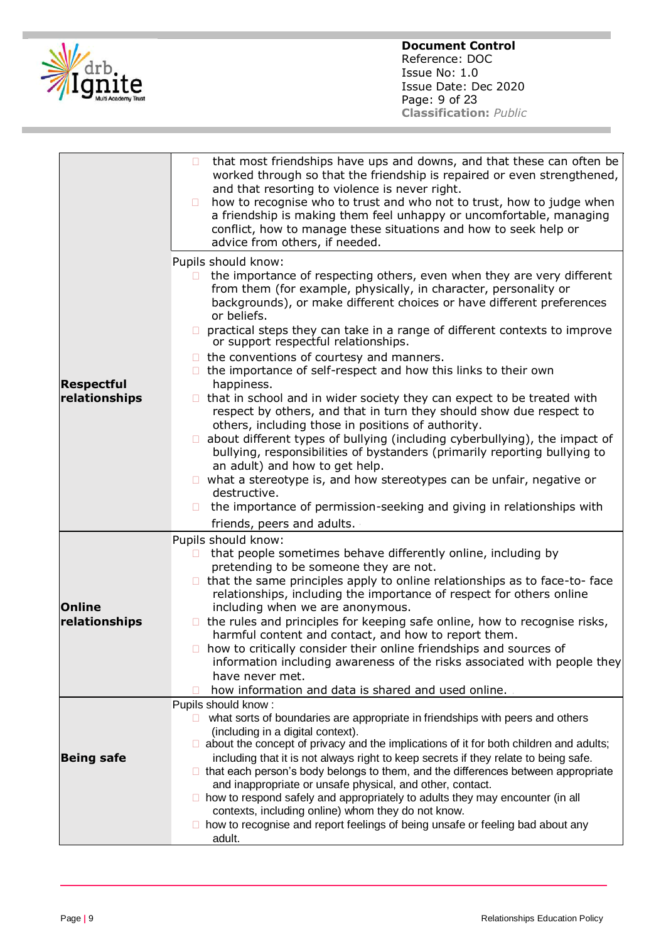

|                                    | that most friendships have ups and downs, and that these can often be<br>O<br>worked through so that the friendship is repaired or even strengthened,<br>and that resorting to violence is never right.<br>how to recognise who to trust and who not to trust, how to judge when<br>$\Box$<br>a friendship is making them feel unhappy or uncomfortable, managing<br>conflict, how to manage these situations and how to seek help or<br>advice from others, if needed.                                                                                                                                                                                                                                                                                                                                                                                                                                                                                                                                                                                                                                                                     |
|------------------------------------|---------------------------------------------------------------------------------------------------------------------------------------------------------------------------------------------------------------------------------------------------------------------------------------------------------------------------------------------------------------------------------------------------------------------------------------------------------------------------------------------------------------------------------------------------------------------------------------------------------------------------------------------------------------------------------------------------------------------------------------------------------------------------------------------------------------------------------------------------------------------------------------------------------------------------------------------------------------------------------------------------------------------------------------------------------------------------------------------------------------------------------------------|
| <b>Respectful</b><br>relationships | Pupils should know:<br>the importance of respecting others, even when they are very different<br>from them (for example, physically, in character, personality or<br>backgrounds), or make different choices or have different preferences<br>or beliefs.<br>practical steps they can take in a range of different contexts to improve<br>or support respectful relationships.<br>the conventions of courtesy and manners.<br>□.<br>the importance of self-respect and how this links to their own<br>$\Box$<br>happiness.<br>$\Box$ that in school and in wider society they can expect to be treated with<br>respect by others, and that in turn they should show due respect to<br>others, including those in positions of authority.<br>about different types of bullying (including cyberbullying), the impact of<br>bullying, responsibilities of bystanders (primarily reporting bullying to<br>an adult) and how to get help.<br>$\Box$ what a stereotype is, and how stereotypes can be unfair, negative or<br>destructive.<br>the importance of permission-seeking and giving in relationships with<br>friends, peers and adults. |
| <b>Online</b><br>relationships     | Pupils should know:<br>that people sometimes behave differently online, including by<br>pretending to be someone they are not.<br>$\Box$ that the same principles apply to online relationships as to face-to- face<br>relationships, including the importance of respect for others online<br>including when we are anonymous.<br>$\Box$ the rules and principles for keeping safe online, how to recognise risks,<br>harmful content and contact, and how to report them.<br>how to critically consider their online friendships and sources of<br>information including awareness of the risks associated with people they<br>have never met.<br>how information and data is shared and used online.                                                                                                                                                                                                                                                                                                                                                                                                                                     |
| <b>Being safe</b>                  | Pupils should know:<br>what sorts of boundaries are appropriate in friendships with peers and others<br>П.<br>(including in a digital context).<br>$\Box$ about the concept of privacy and the implications of it for both children and adults;<br>including that it is not always right to keep secrets if they relate to being safe.<br>□ that each person's body belongs to them, and the differences between appropriate<br>and inappropriate or unsafe physical, and other, contact.<br>$\Box$ how to respond safely and appropriately to adults they may encounter (in all<br>contexts, including online) whom they do not know.<br>□ how to recognise and report feelings of being unsafe or feeling bad about any<br>adult.                                                                                                                                                                                                                                                                                                                                                                                                         |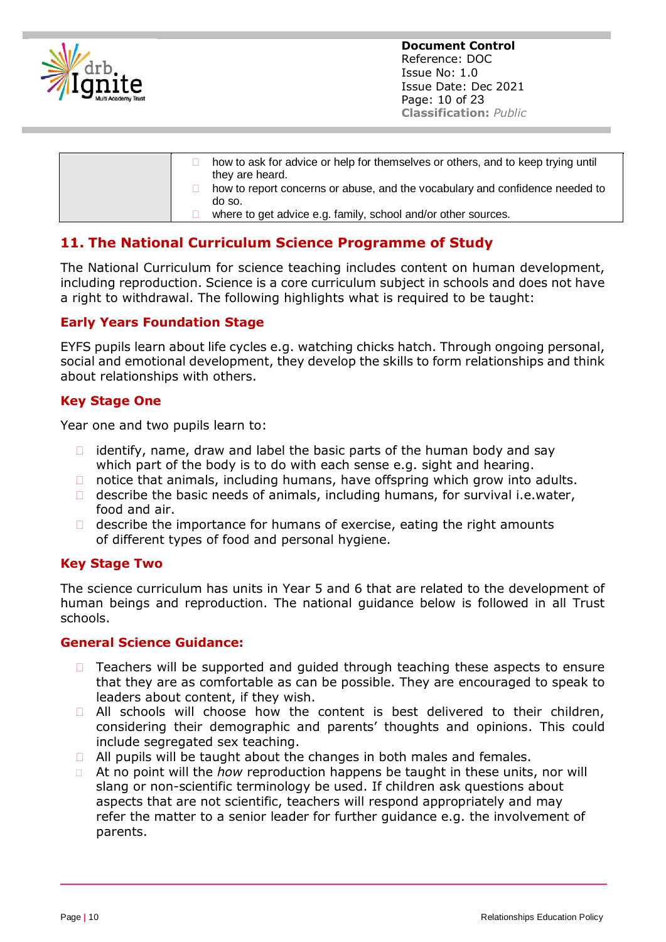<span id="page-9-0"></span>

| how to ask for advice or help for themselves or others, and to keep trying until<br>they are heard. |
|-----------------------------------------------------------------------------------------------------|
| how to report concerns or abuse, and the vocabulary and confidence needed to<br>do so.              |
| where to get advice e.g. family, school and/or other sources.                                       |

# **11. The National Curriculum Science Programme of Study**

The National Curriculum for science teaching includes content on human development, including reproduction. Science is a core curriculum subject in schools and does not have a right to withdrawal. The following highlights what is required to be taught:

#### **Early Years Foundation Stage**

EYFS pupils learn about life cycles e.g. watching chicks hatch. Through ongoing personal, social and emotional development, they develop the skills to form relationships and think about relationships with others.

#### **Key Stage One**

Year one and two pupils learn to:

- $\Box$  identify, name, draw and label the basic parts of the human body and say which part of the body is to do with each sense e.g. sight and hearing.
- $\Box$  notice that animals, including humans, have offspring which grow into adults.
- $\Box$  describe the basic needs of animals, including humans, for survival i.e.water, food and air.
- $\Box$  describe the importance for humans of exercise, eating the right amounts of different types of food and personal hygiene.

#### **Key Stage Two**

The science curriculum has units in Year 5 and 6 that are related to the development of human beings and reproduction. The national guidance below is followed in all Trust schools.

#### **General Science Guidance:**

- $\Box$  Teachers will be supported and quided through teaching these aspects to ensure that they are as comfortable as can be possible. They are encouraged to speak to leaders about content, if they wish.
- □ All schools will choose how the content is best delivered to their children, considering their demographic and parents' thoughts and opinions. This could include segregated sex teaching.
- $\Box$  All pupils will be taught about the changes in both males and females.
- At no point will the *how* reproduction happens be taught in these units, nor will slang or non-scientific terminology be used. If children ask questions about aspects that are not scientific, teachers will respond appropriately and may refer the matter to a senior leader for further guidance e.g. the involvement of parents.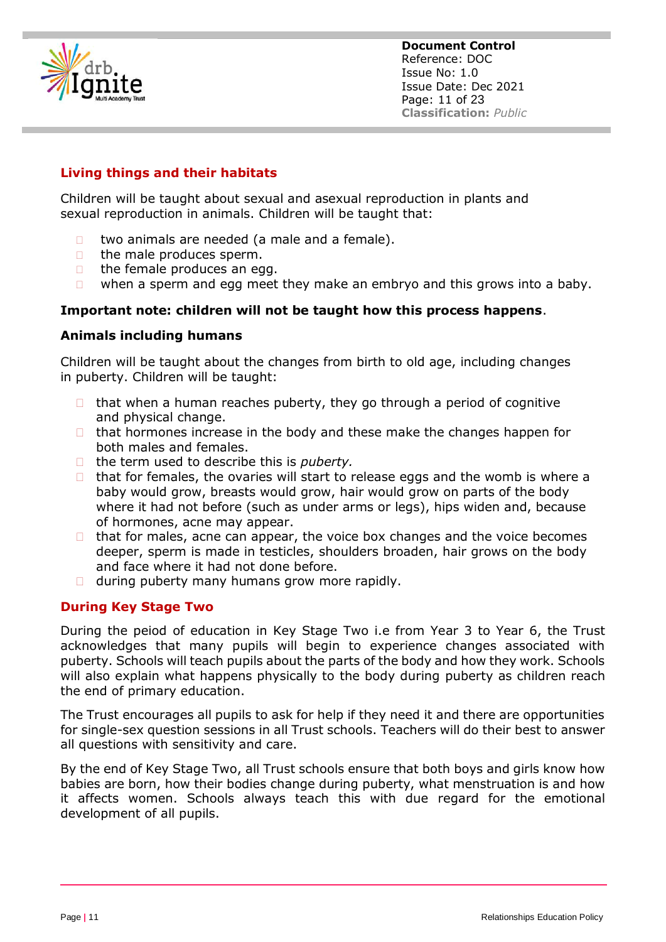

#### **Living things and their habitats**

Children will be taught about sexual and asexual reproduction in plants and sexual reproduction in animals. Children will be taught that:

- $\Box$  two animals are needed (a male and a female).
- $\Box$  the male produces sperm.
- $\Box$  the female produces an egg.
- $\Box$  when a sperm and egg meet they make an embryo and this grows into a baby.

#### **Important note: children will not be taught how this process happens**.

#### **Animals including humans**

Children will be taught about the changes from birth to old age, including changes in puberty. Children will be taught:

- $\Box$  that when a human reaches puberty, they go through a period of cognitive and physical change.
- $\Box$  that hormones increase in the body and these make the changes happen for both males and females.
- □ the term used to describe this is *puberty*.
- $\Box$  that for females, the ovaries will start to release eggs and the womb is where a baby would grow, breasts would grow, hair would grow on parts of the body where it had not before (such as under arms or legs), hips widen and, because of hormones, acne may appear.
- $\Box$  that for males, acne can appear, the voice box changes and the voice becomes deeper, sperm is made in testicles, shoulders broaden, hair grows on the body and face where it had not done before.
- $\Box$  during puberty many humans grow more rapidly.

#### **During Key Stage Two**

During the peiod of education in Key Stage Two i.e from Year 3 to Year 6, the Trust acknowledges that many pupils will begin to experience changes associated with puberty. Schools will teach pupils about the parts of the body and how they work. Schools will also explain what happens physically to the body during puberty as children reach the end of primary education.

The Trust encourages all pupils to ask for help if they need it and there are opportunities for single-sex question sessions in all Trust schools. Teachers will do their best to answer all questions with sensitivity and care.

By the end of Key Stage Two, all Trust schools ensure that both boys and girls know how babies are born, how their bodies change during puberty, what menstruation is and how it affects women. Schools always teach this with due regard for the emotional development of all pupils.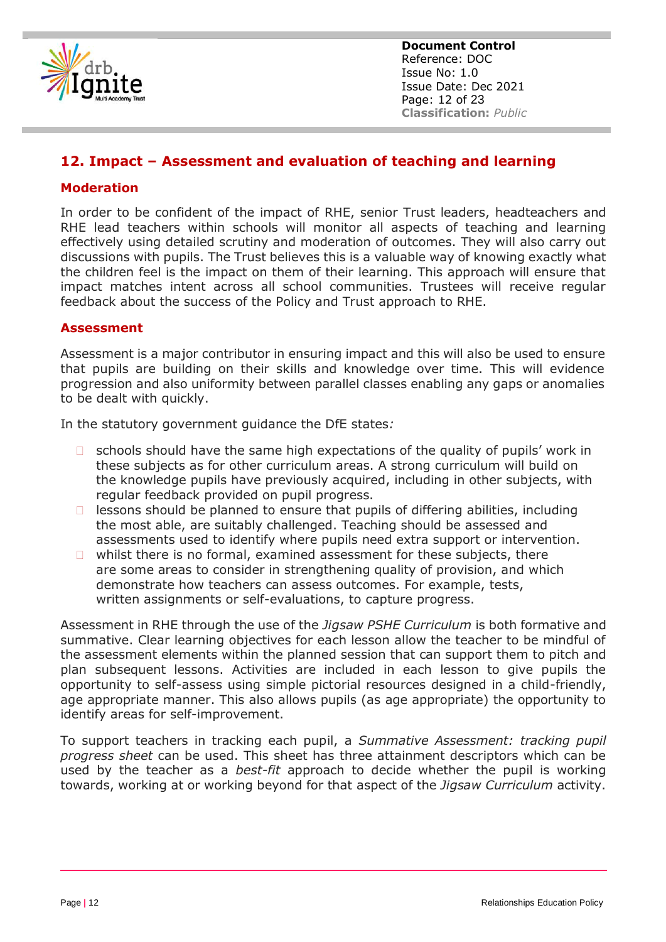<span id="page-11-0"></span>

**Document Control** Reference: DOC Issue No: 1.0 Issue Date: Dec 2021 Page: 12 of 23 **Classification:** *Public*

### **12. Impact – Assessment and evaluation of teaching and learning**

#### **Moderation**

In order to be confident of the impact of RHE, senior Trust leaders, headteachers and RHE lead teachers within schools will monitor all aspects of teaching and learning effectively using detailed scrutiny and moderation of outcomes. They will also carry out discussions with pupils. The Trust believes this is a valuable way of knowing exactly what the children feel is the impact on them of their learning. This approach will ensure that impact matches intent across all school communities. Trustees will receive regular feedback about the success of the Policy and Trust approach to RHE.

#### **Assessment**

Assessment is a major contributor in ensuring impact and this will also be used to ensure that pupils are building on their skills and knowledge over time. This will evidence progression and also uniformity between parallel classes enabling any gaps or anomalies to be dealt with quickly.

In the statutory government guidance the DfE states*:*

- $\Box$  schools should have the same high expectations of the quality of pupils' work in these subjects as for other curriculum areas. A strong curriculum will build on the knowledge pupils have previously acquired, including in other subjects, with regular feedback provided on pupil progress.
- $\Box$  lessons should be planned to ensure that pupils of differing abilities, including the most able, are suitably challenged. Teaching should be assessed and assessments used to identify where pupils need extra support or intervention.
- $\Box$  whilst there is no formal, examined assessment for these subjects, there are some areas to consider in strengthening quality of provision, and which demonstrate how teachers can assess outcomes. For example, tests, written assignments or self-evaluations, to capture progress.

Assessment in RHE through the use of the *Jigsaw PSHE Curriculum* is both formative and summative. Clear learning objectives for each lesson allow the teacher to be mindful of the assessment elements within the planned session that can support them to pitch and plan subsequent lessons. Activities are included in each lesson to give pupils the opportunity to self-assess using simple pictorial resources designed in a child-friendly, age appropriate manner. This also allows pupils (as age appropriate) the opportunity to identify areas for self-improvement.

To support teachers in tracking each pupil, a *Summative Assessment: tracking pupil progress sheet* can be used. This sheet has three attainment descriptors which can be used by the teacher as a *best-fit* approach to decide whether the pupil is working towards, working at or working beyond for that aspect of the *Jigsaw Curriculum* activity.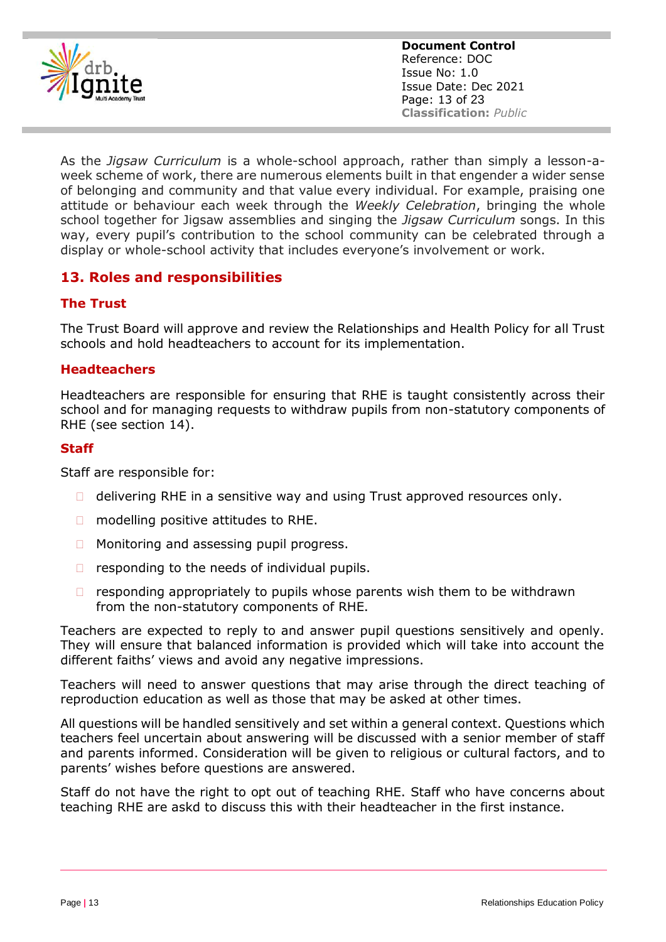<span id="page-12-0"></span>

**Document Control** Reference: DOC Issue No: 1.0 Issue Date: Dec 2021 Page: 13 of 23 **Classification:** *Public*

As the *Jigsaw Curriculum* is a whole-school approach, rather than simply a lesson-aweek scheme of work, there are numerous elements built in that engender a wider sense of belonging and community and that value every individual. For example, praising one attitude or behaviour each week through the *Weekly Celebration*, bringing the whole school together for Jigsaw assemblies and singing the *Jigsaw Curriculum* songs. In this way, every pupil's contribution to the school community can be celebrated through a display or whole-school activity that includes everyone's involvement or work.

## **13. Roles and responsibilities**

#### **The Trust**

The Trust Board will approve and review the Relationships and Health Policy for all Trust schools and hold headteachers to account for its implementation.

#### **Headteachers**

Headteachers are responsible for ensuring that RHE is taught consistently across their school and for managing requests to withdraw pupils from non-statutory components of RHE (see section 14).

#### **Staff**

Staff are responsible for:

- $\Box$  delivering RHE in a sensitive way and using Trust approved resources only.
- $\Box$  modelling positive attitudes to RHE.
- □ Monitoring and assessing pupil progress.
- $\Box$  responding to the needs of individual pupils.
- $\Box$  responding appropriately to pupils whose parents wish them to be withdrawn from the non-statutory components of RHE.

Teachers are expected to reply to and answer pupil questions sensitively and openly. They will ensure that balanced information is provided which will take into account the different faiths' views and avoid any negative impressions.

Teachers will need to answer questions that may arise through the direct teaching of reproduction education as well as those that may be asked at other times.

All questions will be handled sensitively and set within a general context. Questions which teachers feel uncertain about answering will be discussed with a senior member of staff and parents informed. Consideration will be given to religious or cultural factors, and to parents' wishes before questions are answered.

Staff do not have the right to opt out of teaching RHE. Staff who have concerns about teaching RHE are askd to discuss this with their headteacher in the first instance.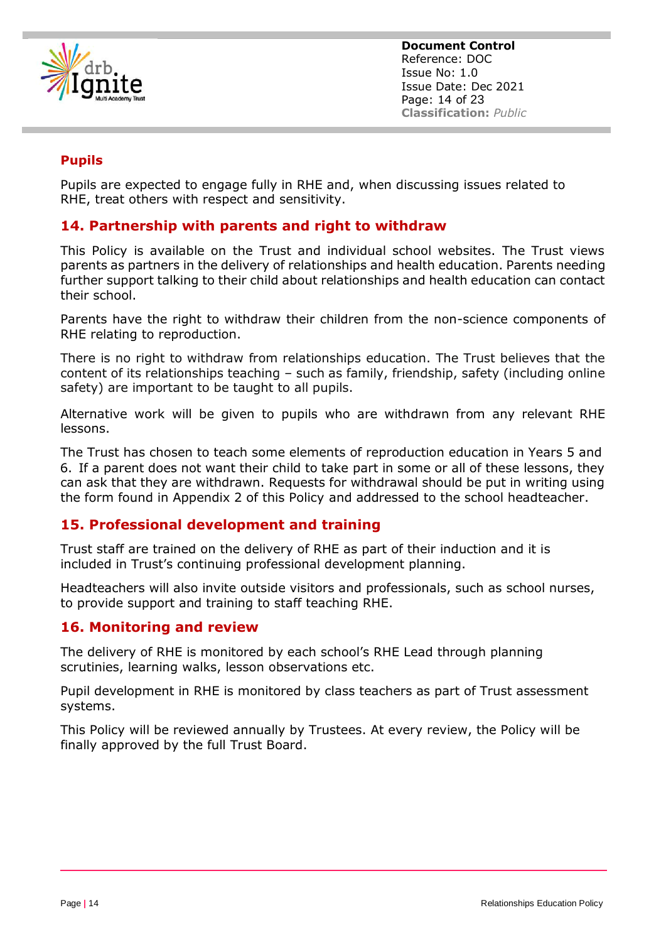<span id="page-13-0"></span>

**Document Control** Reference: DOC Issue No: 1.0 Issue Date: Dec 2021 Page: 14 of 23 **Classification:** *Public*

#### **Pupils**

Pupils are expected to engage fully in RHE and, when discussing issues related to RHE, treat others with respect and sensitivity.

#### **14. Partnership with parents and right to withdraw**

This Policy is available on the Trust and individual school websites. The Trust views parents as partners in the delivery of relationships and health education. Parents needing further support talking to their child about relationships and health education can contact their school.

Parents have the right to withdraw their children from the non-science components of RHE relating to reproduction.

There is no right to withdraw from relationships education. The Trust believes that the content of its relationships teaching – such as family, friendship, safety (including online safety) are important to be taught to all pupils.

Alternative work will be given to pupils who are withdrawn from any relevant RHE lessons.

The Trust has chosen to teach some elements of reproduction education in Years 5 and 6. If a parent does not want their child to take part in some or all of these lessons, they can ask that they are withdrawn. Requests for withdrawal should be put in writing using the form found in Appendix 2 of this Policy and addressed to the school headteacher.

#### **15. Professional development and training**

Trust staff are trained on the delivery of RHE as part of their induction and it is included in Trust's continuing professional development planning.

Headteachers will also invite outside visitors and professionals, such as school nurses, to provide support and training to staff teaching RHE.

#### **16. Monitoring and review**

The delivery of RHE is monitored by each school's RHE Lead through planning scrutinies, learning walks, lesson observations etc.

Pupil development in RHE is monitored by class teachers as part of Trust assessment systems.

This Policy will be reviewed annually by Trustees. At every review, the Policy will be finally approved by the full Trust Board.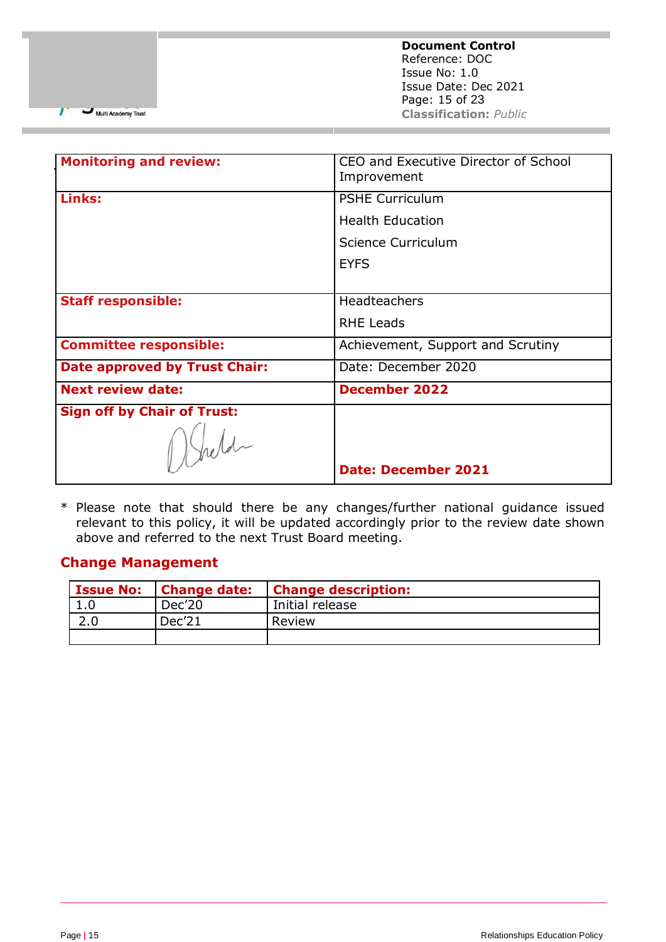**Document Control** Reference: DOC Issue No: 1.0 Issue Date: Dec 2021 Page: 15 of 23 **Classification:** *Public*

Multi Academy Trust

7

| <b>Monitoring and review:</b>        | CEO and Executive Director of School<br>Improvement |  |
|--------------------------------------|-----------------------------------------------------|--|
| Links:                               | <b>PSHE Curriculum</b>                              |  |
|                                      | <b>Health Education</b>                             |  |
|                                      | Science Curriculum                                  |  |
|                                      | <b>EYFS</b>                                         |  |
|                                      |                                                     |  |
| <b>Staff responsible:</b>            | Headteachers                                        |  |
|                                      | <b>RHE Leads</b>                                    |  |
| <b>Committee responsible:</b>        | Achievement, Support and Scrutiny                   |  |
| <b>Date approved by Trust Chair:</b> | Date: December 2020                                 |  |
| <b>Next review date:</b>             | <b>December 2022</b>                                |  |
| <b>Sign off by Chair of Trust:</b>   |                                                     |  |
| 1 Held                               |                                                     |  |
|                                      | <b>Date: December 2021</b>                          |  |

\* Please note that should there be any changes/further national guidance issued relevant to this policy, it will be updated accordingly prior to the review date shown above and referred to the next Trust Board meeting.

#### **Change Management**

| <b>Issue No:</b> | <b>Change date:</b> | <b>Change description:</b> |
|------------------|---------------------|----------------------------|
| ı.u              | Dec'20              | Initial release            |
|                  | Dec'21              | Review                     |
|                  |                     |                            |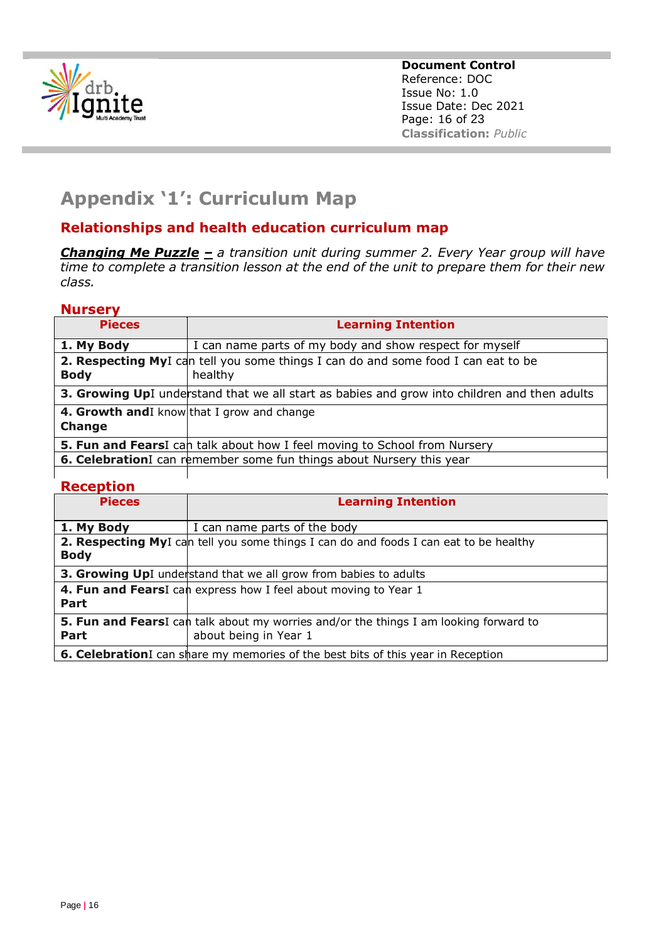<span id="page-15-0"></span>

**Document Control** Reference: DOC Issue No: 1.0 Issue Date: Dec 2021 Page: 16 of 23 **Classification:** *Public*

# **Appendix '1': Curriculum Map**

# **Relationships and health education curriculum map**

*Changing Me Puzzle – a transition unit during summer 2. Every Year group will have time to complete a transition lesson at the end of the unit to prepare them for their new class.*

#### **Nursery**

| <b>Pieces</b>                                                        | <b>Learning Intention</b>                                                                            |  |  |
|----------------------------------------------------------------------|------------------------------------------------------------------------------------------------------|--|--|
| 1. My Body                                                           | I can name parts of my body and show respect for myself                                              |  |  |
| <b>Body</b>                                                          | <b>2. Respecting My</b> I can tell you some things I can do and some food I can eat to be<br>healthy |  |  |
|                                                                      | 3. Growing UpI understand that we all start as babies and grow into children and then adults         |  |  |
| 4. Growth and I know that I grow and change<br>Change                |                                                                                                      |  |  |
|                                                                      | <b>5. Fun and Fears</b> I can talk about how I feel moving to School from Nursery                    |  |  |
| 6. CelebrationI can remember some fun things about Nursery this year |                                                                                                      |  |  |
| <b>Reception</b>                                                     |                                                                                                      |  |  |

| <b>Pieces</b> | <b>Learning Intention</b>                                                                                              |
|---------------|------------------------------------------------------------------------------------------------------------------------|
| 1. My Body    | I can name parts of the body                                                                                           |
| <b>Body</b>   | 2. Respecting MyI can tell you some things I can do and foods I can eat to be healthy                                  |
|               | <b>3. Growing UpI</b> understand that we all grow from babies to adults                                                |
| Part          | 4. Fun and FearsI can express how I feel about moving to Year 1                                                        |
| Part          | <b>5. Fun and Fears</b> I can talk about my worries and/or the things I am looking forward to<br>about being in Year 1 |
|               | 6. CelebrationI can share my memories of the best bits of this year in Reception                                       |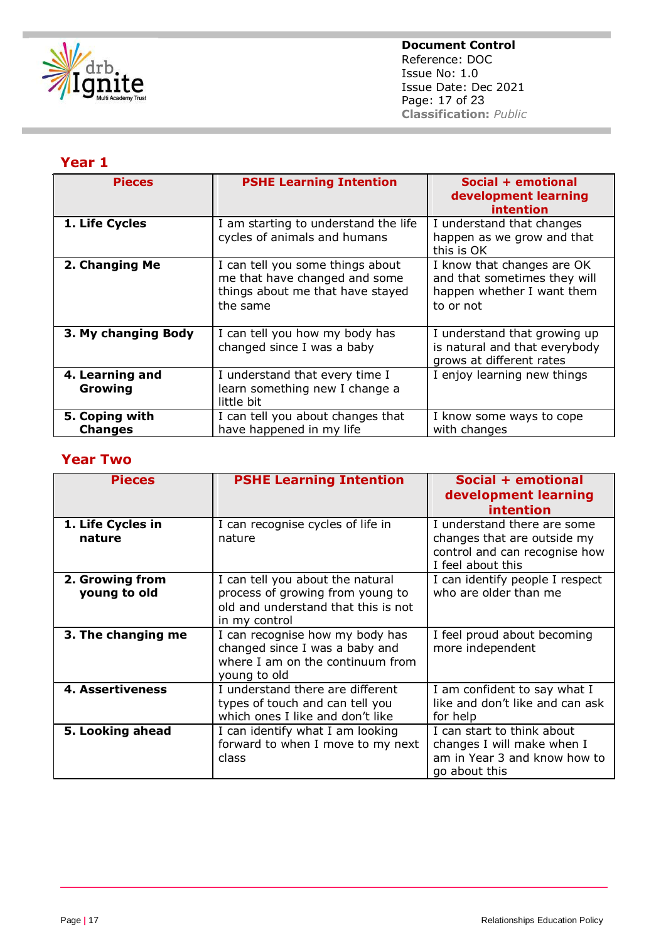

#### **Year 1**

| <b>Pieces</b>                    | <b>PSHE Learning Intention</b>                                                                                    | Social + emotional<br>development learning<br>intention                                               |
|----------------------------------|-------------------------------------------------------------------------------------------------------------------|-------------------------------------------------------------------------------------------------------|
| 1. Life Cycles                   | I am starting to understand the life<br>cycles of animals and humans                                              | I understand that changes<br>happen as we grow and that<br>this is OK                                 |
| 2. Changing Me                   | I can tell you some things about<br>me that have changed and some<br>things about me that have stayed<br>the same | I know that changes are OK<br>and that sometimes they will<br>happen whether I want them<br>to or not |
| 3. My changing Body              | I can tell you how my body has<br>changed since I was a baby                                                      | I understand that growing up<br>is natural and that everybody<br>grows at different rates             |
| 4. Learning and<br>Growing       | I understand that every time I<br>learn something new I change a<br>little bit                                    | I enjoy learning new things                                                                           |
| 5. Coping with<br><b>Changes</b> | I can tell you about changes that<br>have happened in my life                                                     | I know some ways to cope<br>with changes                                                              |

# **Year Two**

| <b>Pieces</b>                   | <b>PSHE Learning Intention</b>                                                                                               | Social + emotional<br>development learning<br>intention                                                          |
|---------------------------------|------------------------------------------------------------------------------------------------------------------------------|------------------------------------------------------------------------------------------------------------------|
| 1. Life Cycles in<br>nature     | I can recognise cycles of life in<br>nature                                                                                  | I understand there are some<br>changes that are outside my<br>control and can recognise how<br>I feel about this |
| 2. Growing from<br>young to old | I can tell you about the natural<br>process of growing from young to<br>old and understand that this is not<br>in my control | I can identify people I respect<br>who are older than me                                                         |
| 3. The changing me              | I can recognise how my body has<br>changed since I was a baby and<br>where I am on the continuum from<br>young to old        | I feel proud about becoming<br>more independent                                                                  |
| <b>4. Assertiveness</b>         | I understand there are different<br>types of touch and can tell you<br>which ones I like and don't like                      | I am confident to say what I<br>like and don't like and can ask<br>for help                                      |
| 5. Looking ahead                | I can identify what I am looking<br>forward to when I move to my next<br>class                                               | I can start to think about<br>changes I will make when I<br>am in Year 3 and know how to<br>go about this        |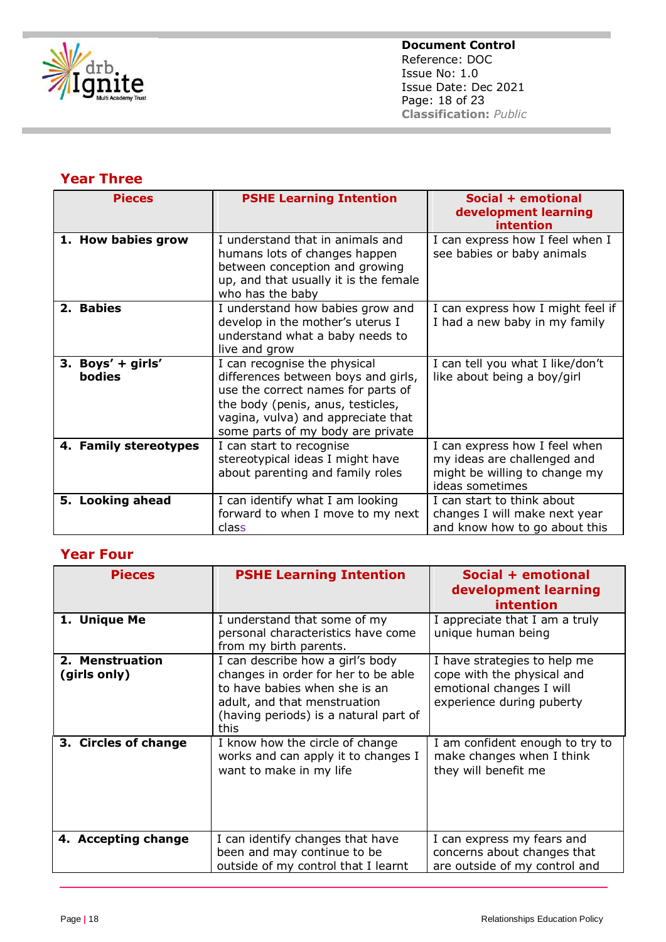

## **Year Three**

| <b>Pieces</b>                      | <b>PSHE Learning Intention</b>                                                                                                                                                                                            | Social + emotional<br>development learning<br>intention                                                          |
|------------------------------------|---------------------------------------------------------------------------------------------------------------------------------------------------------------------------------------------------------------------------|------------------------------------------------------------------------------------------------------------------|
| 1. How babies grow                 | I understand that in animals and<br>humans lots of changes happen<br>between conception and growing<br>up, and that usually it is the female<br>who has the baby                                                          | I can express how I feel when I<br>see babies or baby animals                                                    |
| 2. Babies                          | I understand how babies grow and<br>develop in the mother's uterus I<br>understand what a baby needs to<br>live and grow                                                                                                  | I can express how I might feel if<br>I had a new baby in my family                                               |
| 3. Boys' + girls'<br><b>bodies</b> | I can recognise the physical<br>differences between boys and girls,<br>use the correct names for parts of<br>the body (penis, anus, testicles,<br>vagina, vulva) and appreciate that<br>some parts of my body are private | I can tell you what I like/don't<br>like about being a boy/girl                                                  |
| 4. Family stereotypes              | I can start to recognise<br>stereotypical ideas I might have<br>about parenting and family roles                                                                                                                          | I can express how I feel when<br>my ideas are challenged and<br>might be willing to change my<br>ideas sometimes |
| 5. Looking ahead                   | I can identify what I am looking<br>forward to when I move to my next<br>class                                                                                                                                            | I can start to think about<br>changes I will make next year<br>and know how to go about this                     |

#### **Year Four**

| <b>Pieces</b>                   | <b>PSHE Learning Intention</b>                                                                                                                                                            | Social + emotional<br>development learning<br>intention                                                             |
|---------------------------------|-------------------------------------------------------------------------------------------------------------------------------------------------------------------------------------------|---------------------------------------------------------------------------------------------------------------------|
| 1. Unique Me                    | I understand that some of my<br>personal characteristics have come<br>from my birth parents.                                                                                              | I appreciate that I am a truly<br>unique human being                                                                |
| 2. Menstruation<br>(girls only) | I can describe how a girl's body<br>changes in order for her to be able<br>to have babies when she is an<br>adult, and that menstruation<br>(having periods) is a natural part of<br>this | I have strategies to help me<br>cope with the physical and<br>emotional changes I will<br>experience during puberty |
| 3. Circles of change            | I know how the circle of change<br>works and can apply it to changes I<br>want to make in my life                                                                                         | I am confident enough to try to<br>make changes when I think<br>they will benefit me                                |
| 4. Accepting change             | I can identify changes that have<br>been and may continue to be<br>outside of my control that I learnt                                                                                    | I can express my fears and<br>concerns about changes that<br>are outside of my control and                          |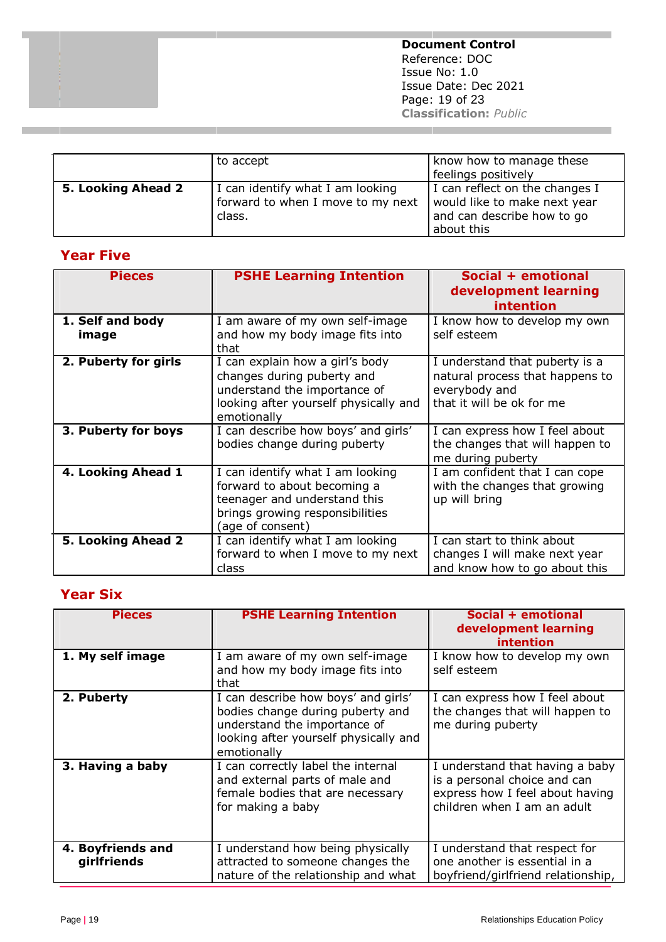**The Contract Document Control** Reference: DOC Issue No: 1.0 Issue Date: Dec 2021 Page: 19 of 23 **Classification:** *Public*

**College** 

|                    | to accept                                                                       | know how to manage these<br>feelings positively                                                            |
|--------------------|---------------------------------------------------------------------------------|------------------------------------------------------------------------------------------------------------|
| 5. Looking Ahead 2 | I can identify what I am looking<br>forward to when I move to my next<br>class. | I can reflect on the changes I<br>would like to make next year<br>and can describe how to go<br>about this |

# **Year Five**

| <b>Pieces</b>             | <b>PSHE Learning Intention</b>                                                                                                                         | Social + emotional<br>development learning<br>intention                                                         |
|---------------------------|--------------------------------------------------------------------------------------------------------------------------------------------------------|-----------------------------------------------------------------------------------------------------------------|
| 1. Self and body<br>image | I am aware of my own self-image<br>and how my body image fits into<br>that                                                                             | I know how to develop my own<br>self esteem                                                                     |
| 2. Puberty for girls      | I can explain how a girl's body<br>changes during puberty and<br>understand the importance of<br>looking after yourself physically and<br>emotionally  | I understand that puberty is a<br>natural process that happens to<br>everybody and<br>that it will be ok for me |
| 3. Puberty for boys       | I can describe how boys' and girls'<br>bodies change during puberty                                                                                    | I can express how I feel about<br>the changes that will happen to<br>me during puberty                          |
| 4. Looking Ahead 1        | I can identify what I am looking<br>forward to about becoming a<br>teenager and understand this<br>brings growing responsibilities<br>(age of consent) | I am confident that I can cope<br>with the changes that growing<br>up will bring                                |
| 5. Looking Ahead 2        | I can identify what I am looking<br>forward to when I move to my next<br>class                                                                         | I can start to think about<br>changes I will make next year<br>and know how to go about this                    |

# **Year Six**

| <b>Pieces</b>     | <b>PSHE Learning Intention</b>                                          | Social + emotional                                                |
|-------------------|-------------------------------------------------------------------------|-------------------------------------------------------------------|
|                   |                                                                         | development learning                                              |
|                   |                                                                         | intention                                                         |
| 1. My self image  | I am aware of my own self-image                                         | I know how to develop my own                                      |
|                   | and how my body image fits into<br>that                                 | self esteem                                                       |
|                   |                                                                         |                                                                   |
| 2. Puberty        | I can describe how boys' and girls'<br>bodies change during puberty and | I can express how I feel about<br>the changes that will happen to |
|                   | understand the importance of                                            | me during puberty                                                 |
|                   | looking after yourself physically and                                   |                                                                   |
|                   | emotionally                                                             |                                                                   |
| 3. Having a baby  | I can correctly label the internal                                      | I understand that having a baby                                   |
|                   | and external parts of male and                                          | is a personal choice and can                                      |
|                   | female bodies that are necessary                                        | express how I feel about having                                   |
|                   | for making a baby                                                       | children when I am an adult                                       |
|                   |                                                                         |                                                                   |
|                   |                                                                         |                                                                   |
| 4. Boyfriends and | I understand how being physically                                       | I understand that respect for                                     |
| girlfriends       | attracted to someone changes the                                        | one another is essential in a                                     |
|                   | nature of the relationship and what                                     | boyfriend/girlfriend relationship,                                |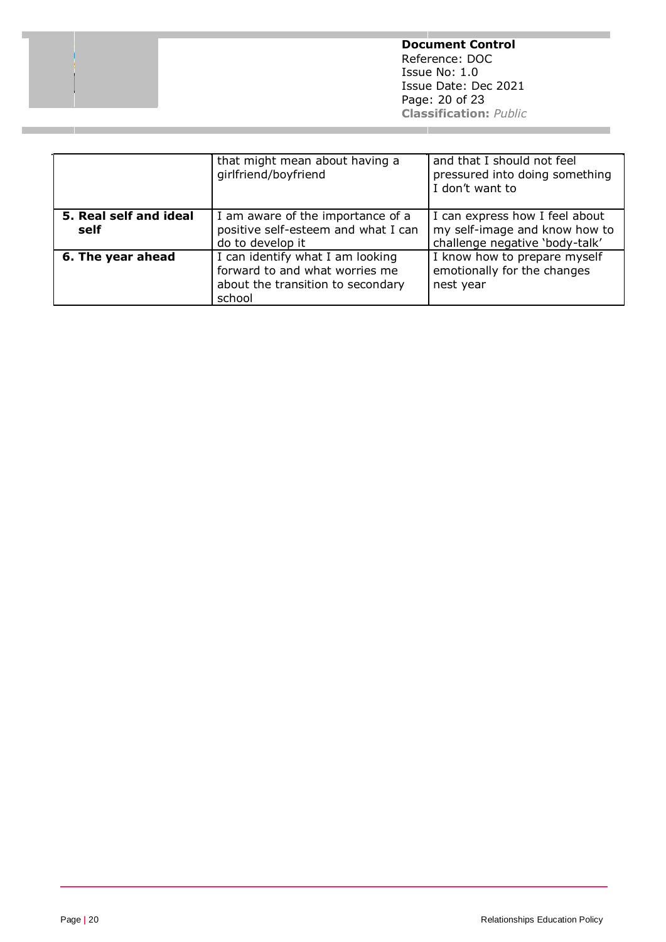**Document Control** Reference: DOC Issue No: 1.0 Issue Date: Dec 2021 Page: 20 of 23 **Classification:** *Public*

|                                | that might mean about having a<br>girlfriend/boyfriend                                                            | and that I should not feel<br>pressured into doing something<br>I don't want to                   |
|--------------------------------|-------------------------------------------------------------------------------------------------------------------|---------------------------------------------------------------------------------------------------|
| 5. Real self and ideal<br>self | I am aware of the importance of a<br>positive self-esteem and what I can<br>do to develop it                      | I can express how I feel about<br>my self-image and know how to<br>challenge negative 'body-talk' |
| 6. The year ahead              | I can identify what I am looking<br>forward to and what worries me<br>about the transition to secondary<br>school | I know how to prepare myself<br>emotionally for the changes<br>nest year                          |